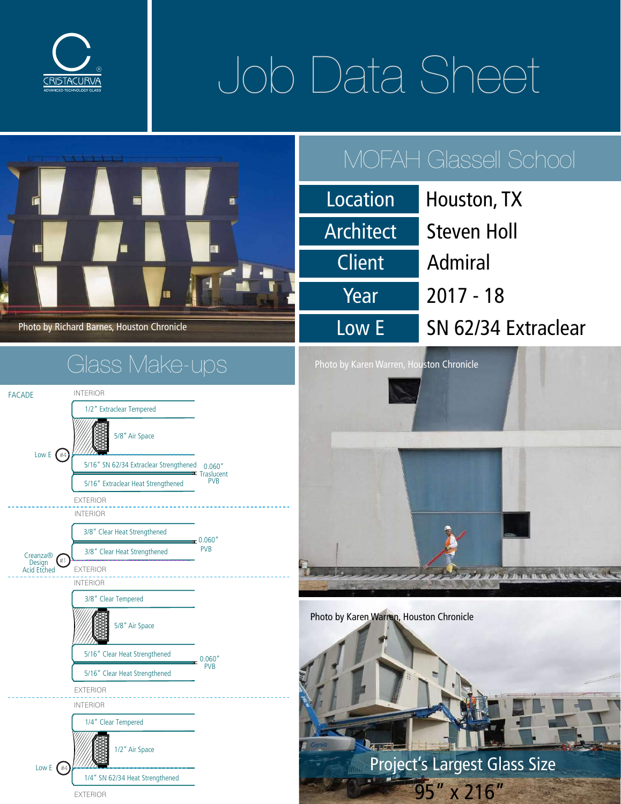

# Job Data Sheet









Photo by Karen Warren, Houston Chronicle

 Project's Largest Glass Size 95" x 216"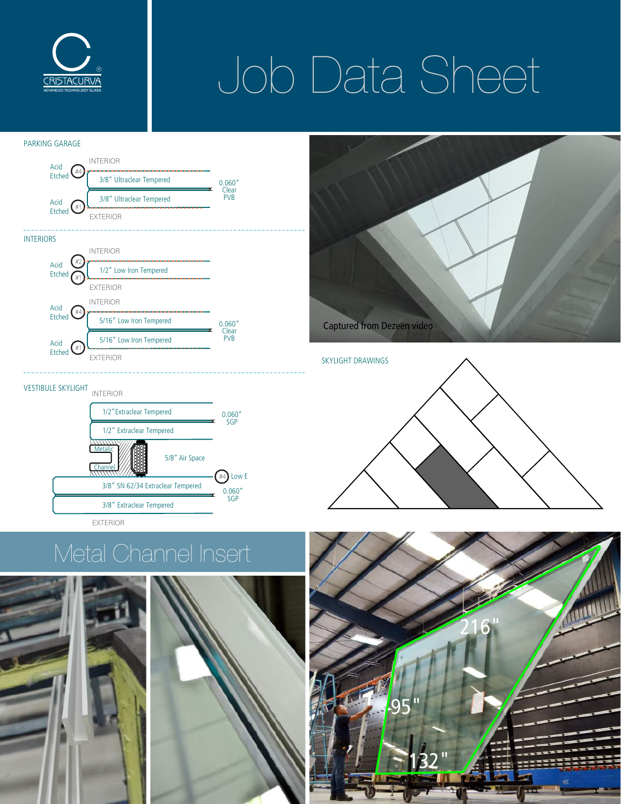

## Job Data Sheet





SKYLIGHT DRAWINGS

#### VESTIBULE SKYLIGHT INTERIOR





### Metal Channel Insert